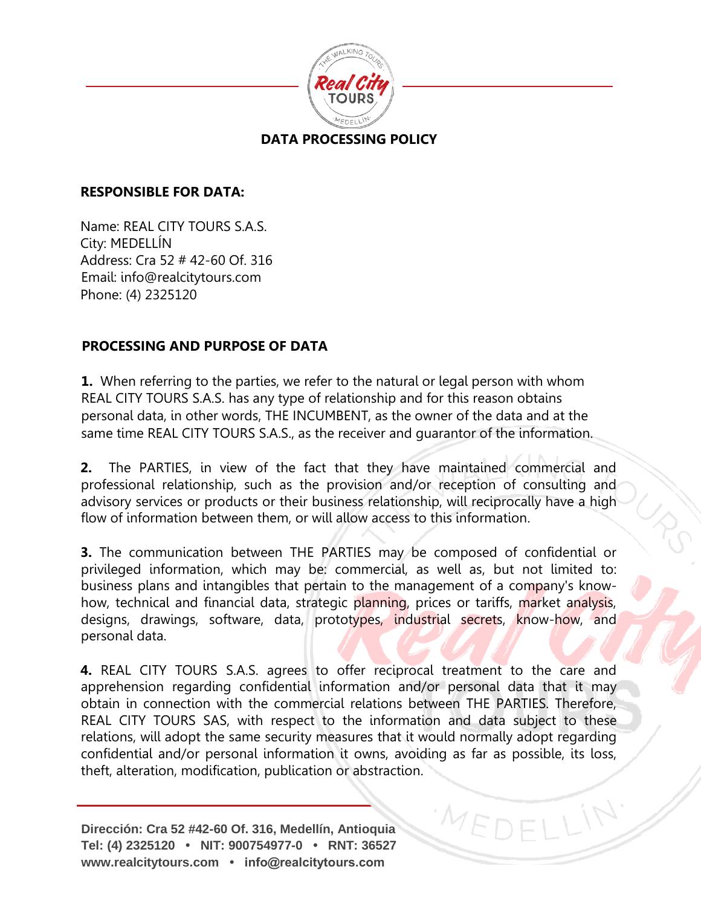

## **DATA PROCESSING POLICY**

#### **RESPONSIBLE FOR DATA:**

Name: REAL CITY TOURS S.A.S. City: MEDELLÍN Address: Cra 52 # 42-60 Of. 316 Email: info@realcitytours.com Phone: (4) 2325120

## **PROCESSING AND PURPOSE OF DATA**

**1.** When referring to the parties, we refer to the natural or legal person with whom REAL CITY TOURS S.A.S. has any type of relationship and for this reason obtains personal data, in other words, THE INCUMBENT, as the owner of the data and at the same time REAL CITY TOURS S.A.S., as the receiver and guarantor of the information.

**2.** The PARTIES, in view of the fact that they have maintained commercial and professional relationship, such as the provision and/or reception of consulting and advisory services or products or their business relationship, will reciprocally have a high flow of information between them, or will allow access to this information.

**3.** The communication between THE PARTIES may be composed of confidential or privileged information, which may be: commercial, as well as, but not limited to: business plans and intangibles that pertain to the management of a company's knowhow, technical and financial data, strategic planning, prices or tariffs, market analysis, designs, drawings, software, data, prototypes, industrial secrets, know-how, and personal data.

**4.** REAL CITY TOURS S.A.S. agrees to offer reciprocal treatment to the care and apprehension regarding confidential information and/or personal data that it may obtain in connection with the commercial relations between THE PARTIES. Therefore, REAL CITY TOURS SAS, with respect to the information and data subject to these relations, will adopt the same security measures that it would normally adopt regarding confidential and/or personal information it owns, avoiding as far as possible, its loss, theft, alteration, modification, publication or abstraction.

MEDEL

**Dirección: Cra 52 #42-60 Of. 316, Medellín, Antioquia Tel: (4) 2325120 • NIT: 900754977-0 • RNT: 36527 www.realcitytours.com • info@realcitytours.com**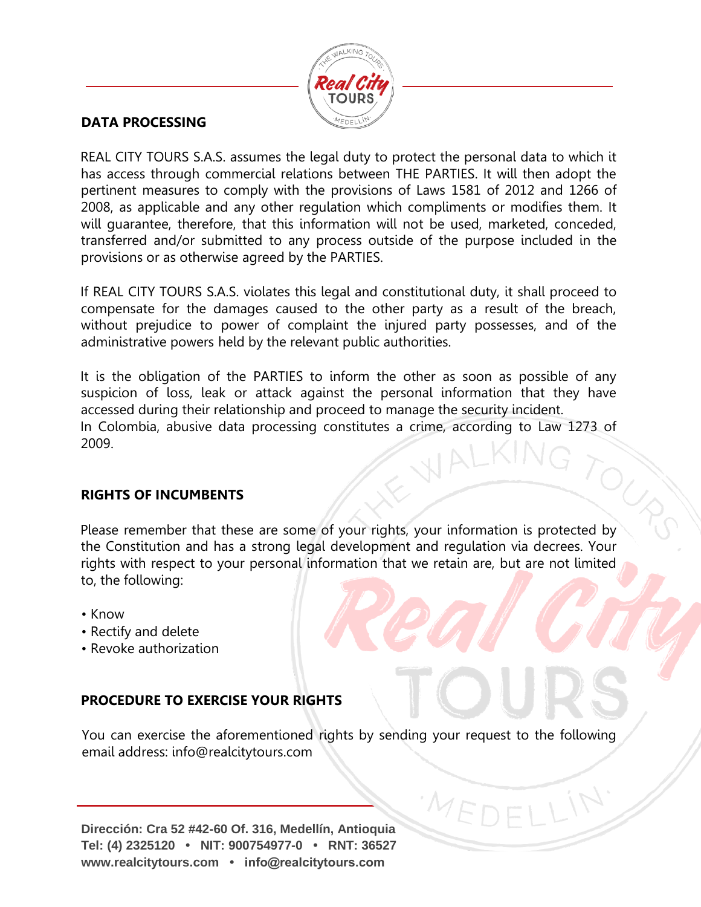

## **DATA PROCESSING**

REAL CITY TOURS S.A.S. assumes the legal duty to protect the personal data to which it has access through commercial relations between THE PARTIES. It will then adopt the pertinent measures to comply with the provisions of Laws 1581 of 2012 and 1266 of 2008, as applicable and any other regulation which compliments or modifies them. It will guarantee, therefore, that this information will not be used, marketed, conceded, transferred and/or submitted to any process outside of the purpose included in the provisions or as otherwise agreed by the PARTIES.

If REAL CITY TOURS S.A.S. violates this legal and constitutional duty, it shall proceed to compensate for the damages caused to the other party as a result of the breach, without prejudice to power of complaint the injured party possesses, and of the administrative powers held by the relevant public authorities.

It is the obligation of the PARTIES to inform the other as soon as possible of any suspicion of loss, leak or attack against the personal information that they have accessed during their relationship and proceed to manage the security incident. In Colombia, abusive data processing constitutes a crime, according to Law 1273 of 2009.

#### **RIGHTS OF INCUMBENTS**

Please remember that these are some of your rights, your information is protected by the Constitution and has a strong legal development and regulation via decrees. Your rights with respect to your personal information that we retain are, but are not limited to, the following:

 $O_{\mathcal{C}_{\mathcal{D}}}$ 

- Know
- Rectify and delete
- Revoke authorization

## **PROCEDURE TO EXERCISE YOUR RIGHTS**

You can exercise the aforementioned rights by sending your request to the following email address: info@realcitytours.com

MEDEL